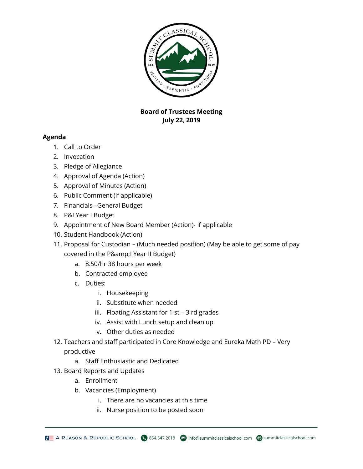

## **Board of Trustees Meeting July 22, 2019**

## **Agenda**

- 1. Call to Order
- 2. Invocation
- 3. Pledge of Allegiance
- 4. Approval of Agenda (Action)
- 5. Approval of Minutes (Action)
- 6. Public Comment (if applicable)
- 7. Financials –General Budget
- 8. P&I Year I Budget
- 9. Appointment of New Board Member (Action)- if applicable
- 10. Student Handbook (Action)
- 11. Proposal for Custodian (Much needed position) (May be able to get some of pay covered in the P& I Year II Budget)
	- a. 8.50/hr 38 hours per week
	- b. Contracted employee
	- c. Duties:
		- i. Housekeeping
		- ii. Substitute when needed
		- iii. Floating Assistant for 1 st 3 rd grades
		- iv. Assist with Lunch setup and clean up
		- v. Other duties as needed
- 12. Teachers and staff participated in Core Knowledge and Eureka Math PD Very

## productive

- a. Staff Enthusiastic and Dedicated
- 13. Board Reports and Updates
	- a. Enrollment
	- b. Vacancies (Employment)
		- i. There are no vacancies at this time
		- ii. Nurse position to be posted soon